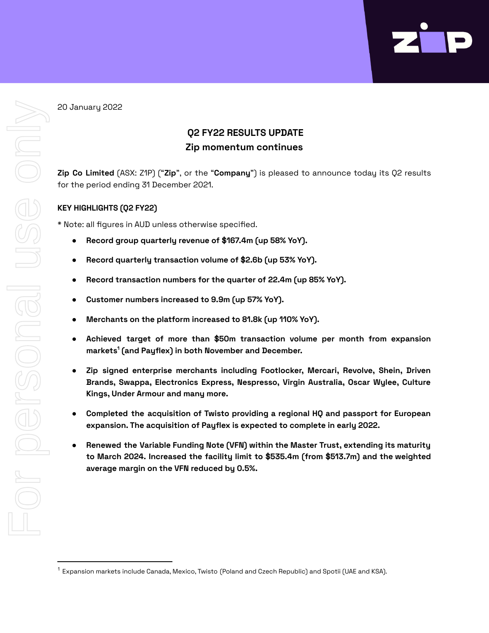

20 January 2022

# **Q2 FY22 RESULTS UPDATE Zip momentum continues**

**Zip Co Limited** (ASX: Z1P) ("**Zip**", or the "**Company**") is pleased to announce today its Q2 results for the period ending 31 December 2021.

# **KEY HIGHLIGHTS (Q2 FY22)**

\* Note: all figures in AUD unless otherwise specified.

- **Record group quarterly revenue of \$167.4m (up 58% YoY).**
- **Record quarterly transaction volume of \$2.6b (up 53% YoY).**
- **Record transaction numbers for the quarter of 22.4m (up 85% YoY).**
- **Customer numbers increased to 9.9m (up 57% YoY).**
- **Merchants on the platform increased to 81.8k (up 110% YoY).**
- **● Achieved target of more than \$50m transaction volume per month from expansion markets 1 (and Payflex) in both November and December.**
- **● Zip signed enterprise merchants including Footlocker, Mercari, Revolve, Shein, Driven Brands, Swappa, Electronics Express, Nespresso, Virgin Australia, Oscar Wylee, Culture Kings, Under Armour and many more.**
- **● Completed the acquisition of Twisto providing a regional HQ and passport for European expansion. The acquisition of Payflex is expected to complete in early 2022.**
- **● Renewed the Variable Funding Note (VFN) within the Master Trust, extending its maturity to March 2024. Increased the facility limit to \$535.4m (from \$513.7m) and the weighted average margin on the VFN reduced by 0.5%.**

 $^1$  Expansion markets include Canada, Mexico, Twisto (Poland and Czech Republic) and Spotii (UAE and KSA).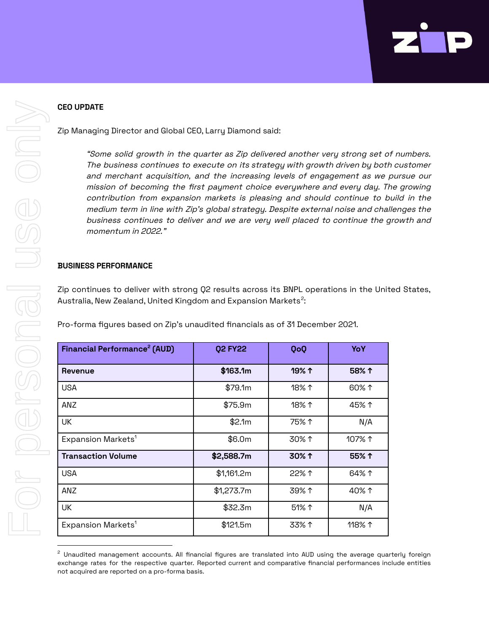# **CEO UPDATE**

Zip Managing Director and Global CEO, Larry Diamond said:

"Some solid growth in the quarter as Zip delivered another very strong set of numbers. The business continues to execute on its strategy with growth driven by both customer and merchant acquisition, and the increasing levels of engagement as we pursue our mission of becoming the first payment choice everywhere and every day. The growing contribution from expansion markets is pleasing and should continue to build in the medium term in line with Zip's global strategy. Despite external noise and challenges the business continues to deliver and we are very well placed to continue the growth and momentum in 2022."

#### **BUSINESS PERFORMANCE**

Zip continues to deliver with strong Q2 results across its BNPL operations in the United States, Australia, New Zealand, United Kingdom and Expansion Markets $^2\! :$ 

Pro-forma figures based on Zip's unaudited financials as of 31 December 2021.

| Financial Performance <sup>2</sup> (AUD) | <b>Q2 FY22</b> | QoQ            | YoY    |
|------------------------------------------|----------------|----------------|--------|
| Revenue                                  | \$163.1m       | 19% 1          | 58% 1  |
| <b>USA</b>                               | \$79.1m        | $18\%$ ↑       | 60% ↑  |
| ANZ                                      | \$75.9m        | 18% $\uparrow$ | 45% 1  |
| UK                                       | \$2.1m         | 75% 1          | N/A    |
| Expansion Markets <sup>1</sup>           | \$6.0m         | 30% 1          | 107% ↑ |
| <b>Transaction Volume</b>                | \$2,588.7m     | 30% 1          | 55% 1  |
| <b>USA</b>                               | \$1,161.2m     | 22% 1          | 64% 1  |
| ANZ                                      | \$1,273.7m     | 39% 1          | 40% 1  |
| UK                                       | \$32.3m        | 51% 1          | N/A    |
| Expansion Markets <sup>1</sup>           | \$121.5m       | 33% 1          | 118% 1 |

<sup>&</sup>lt;sup>2</sup> Unaudited management accounts. All financial figures are translated into AUD using the average quarterly foreign exchange rates for the respective quarter. Reported current and comparative financial performances include entities not acquired are reported on a pro-forma basis.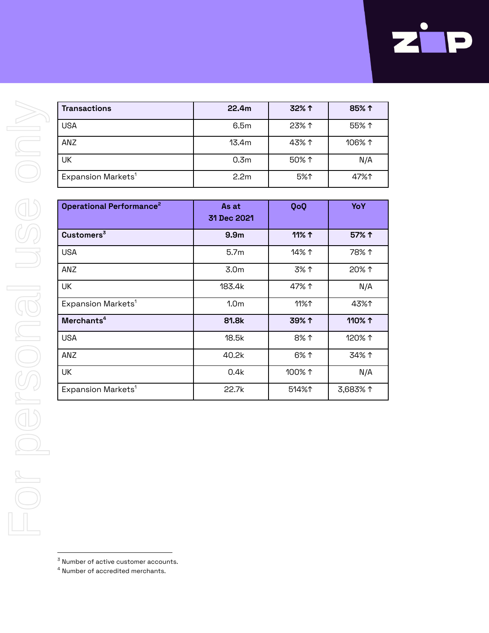| <b>Transactions</b>            | 22.4m            | 32% 1 | 85% 1  |
|--------------------------------|------------------|-------|--------|
| USA                            | 6.5m             | 23% 1 | 55% 1  |
| <b>ANZ</b>                     | 13.4m            | 43% 1 | 106% 1 |
| UK                             | 0.3 <sub>m</sub> | 50% 1 | N/A    |
| Expansion Markets <sup>1</sup> | 2.2 <sub>m</sub> | 5%↑   | 47%↑   |

| <b>Operational Performance<sup>2</sup></b> | As at<br>31 Dec 2021 | QoQ             | YoY      |
|--------------------------------------------|----------------------|-----------------|----------|
| Customers <sup>3</sup>                     | 9.9 <sub>m</sub>     | 11% 1           | 57% ↑    |
| <b>USA</b>                                 | 5.7 <sub>m</sub>     | 14% 1           | 78% 1    |
| ANZ                                        | 3.0 <sub>m</sub>     | 3% 1            | 20% 1    |
| UK                                         | 183.4k               | 47% 1           | N/A      |
| Expansion Markets <sup>1</sup>             | 1.0 <sub>m</sub>     | 11%1            | 43%↑     |
| Merchants <sup>4</sup>                     | 81.8k                | 39% 1           | 110% ተ   |
| <b>USA</b>                                 | 18.5k                | 8% 1            | 120% 1   |
| ANZ                                        | 40.2k                | 6% 1            | 34% 1    |
| UK                                         | 0.4k                 | 100% $\uparrow$ | N/A      |
| Expansion Markets <sup>1</sup>             | 22.7k                | 514%1           | 3,683% 1 |

- $3$  Number of active customer accounts.
- $4$  Number of accredited merchants.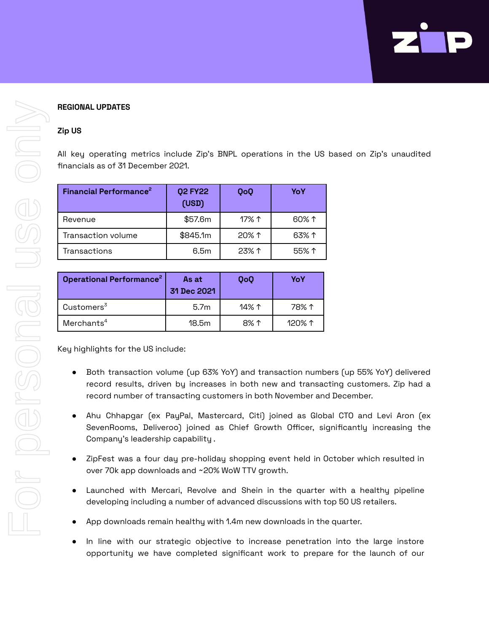

# **REGIONAL UPDATES**

#### **Zip US**

All key operating metrics include Zip's BNPL operations in the US based on Zip's unaudited financials as of 31 December 2021.

| Financial Performance <sup>2</sup> | <b>Q2 FY22</b><br>(USD) | QoQ            | YoY   |
|------------------------------------|-------------------------|----------------|-------|
| Revenue                            | \$57.6m                 | 17% $\uparrow$ | 60% 1 |
| Transaction volume                 | \$845.1m                | $20\%$ ↑       | 63% 1 |
| Transactions                       | 6.5m                    | 23% 1          | 55% 1 |

| <b>Operational Performance<sup>2</sup></b> | As at<br>31 Dec 2021 | <b>QoQ</b> | YoY       |
|--------------------------------------------|----------------------|------------|-----------|
| Customers <sup>3</sup>                     | 5.7 <sub>m</sub>     | 14% ተ      | 78% ↑     |
| Merchants <sup>4</sup>                     | 18.5m                | 8% ተ       | $120\%$ ↑ |

Key highlights for the US include:

- Both transaction volume (up 63% YoY) and transaction numbers (up 55% YoY) delivered record results, driven by increases in both new and transacting customers. Zip had a record number of transacting customers in both November and December.
- Ahu Chhapgar (ex PayPal, Mastercard, Citi) joined as Global CTO and Levi Aron (ex SevenRooms, Deliveroo) joined as Chief Growth Officer, significantly increasing the Company's leadership capability .
- ZipFest was a four day pre-holiday shopping event held in October which resulted in over 70k app downloads and ~20% WoW TTV growth.
- Launched with Mercari, Revolve and Shein in the quarter with a healthy pipeline developing including a number of advanced discussions with top 50 US retailers.
- App downloads remain healthy with 1.4m new downloads in the quarter.
- In line with our strategic objective to increase penetration into the large instore opportunity we have completed significant work to prepare for the launch of our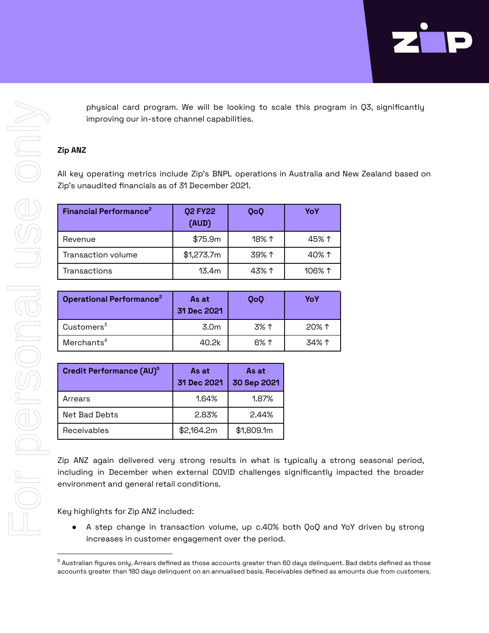physical card program. We will be looking to scale this program in Q3, significantly improving our in-store channel capabilities.

# **Zip ANZ**

All key operating metrics include Zip's BNPL operations in Australia and New Zealand based on Zip's unaudited financials as of 31 December 2021.

| Financial Performance <sup>2</sup> | <b>Q2 FY22</b><br>(AUD) | QoQ   | YoY             |
|------------------------------------|-------------------------|-------|-----------------|
| Revenue                            | \$75.9m                 | 18% ↑ | 45% ተ           |
| Transaction volume                 | \$1,273.7m              | 39% 1 | 40% ተ           |
| Transactions                       | 13.4m                   | 43% ተ | 106% $\uparrow$ |

| <b>Operational Performance<sup>2</sup></b> | As at<br>31 Dec 2021 | <b>QoQ</b> | YoY            |
|--------------------------------------------|----------------------|------------|----------------|
| Customers <sup>3</sup>                     | 3.0m                 | 3% 1       | 20% $\uparrow$ |
| Merchants <sup>4</sup>                     | 40.2k                | 6% ተ       | 34% ተ          |

| Credit Performance (AU) <sup>5</sup> | As at<br>31 Dec 2021 | As at<br>30 Sep 2021 |
|--------------------------------------|----------------------|----------------------|
| Arrears                              | 1.64%                | 1.87%                |
| Net Bad Debts                        | 2.83%                | 2.44%                |
| Receivables                          | \$2,164.2m           | \$1,809.1m           |

Zip ANZ again delivered very strong results in what is typically a strong seasonal period, including in December when external COVID challenges significantly impacted the broader environment and general retail conditions.

Key highlights for Zip ANZ included:

● A step change in transaction volume, up c.40% both QoQ and YoY driven by strong increases in customer engagement over the period.

 $^5$  Australian figures only. Arrears defined as those accounts greater than 60 days delinquent. Bad debts defined as those accounts greater than 180 days delinquent on an annualised basis. Receivables defined as amounts due from customers.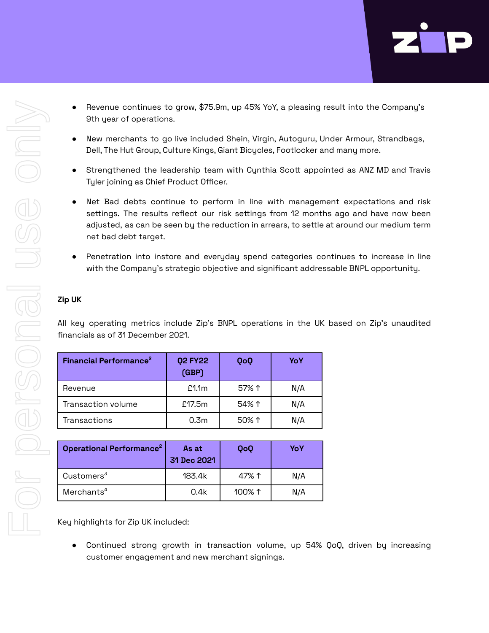

- Revenue continues to grow, \$75.9m, up 45% YoY, a pleasing result into the Company's 9th year of operations.
- New merchants to go live included Shein, Virgin, Autoguru, Under Armour, Strandbags, Dell, The Hut Group, Culture Kings, Giant Bicycles, Footlocker and many more.
- Strengthened the leadership team with Cynthia Scott appointed as ANZ MD and Travis Tyler joining as Chief Product Officer.
- Net Bad debts continue to perform in line with management expectations and risk settings. The results reflect our risk settings from 12 months ago and have now been adjusted, as can be seen by the reduction in arrears, to settle at around our medium term net bad debt target.
- Penetration into instore and everyday spend categories continues to increase in line with the Company's strategic objective and significant addressable BNPL opportunity.

### **Zip UK**

All key operating metrics include Zip's BNPL operations in the UK based on Zip's unaudited financials as of 31 December 2021.

| Financial Performance <sup>2</sup> | <b>Q2 FY22</b><br>(GBP) | QoQ   | YoY |
|------------------------------------|-------------------------|-------|-----|
| Revenue                            | £1.1m                   | 57% 1 | N/A |
| Transaction volume                 | £17.5m                  | 54% 1 | N/A |
| Transactions                       | 0.3 <sub>m</sub>        | 50% 1 | N/A |

| Operational Performance <sup>2</sup> | As at<br>31 Dec 2021 | <b>QoQ</b>      | YoY |
|--------------------------------------|----------------------|-----------------|-----|
| Customers <sup>3</sup>               | 183.4k               | 47% ተ           | N/A |
| Merchants <sup>4</sup>               | 0.4k                 | 100% $\uparrow$ | N/A |

Key highlights for Zip UK included:

● Continued strong growth in transaction volume, up 54% QoQ, driven by increasing customer engagement and new merchant signings.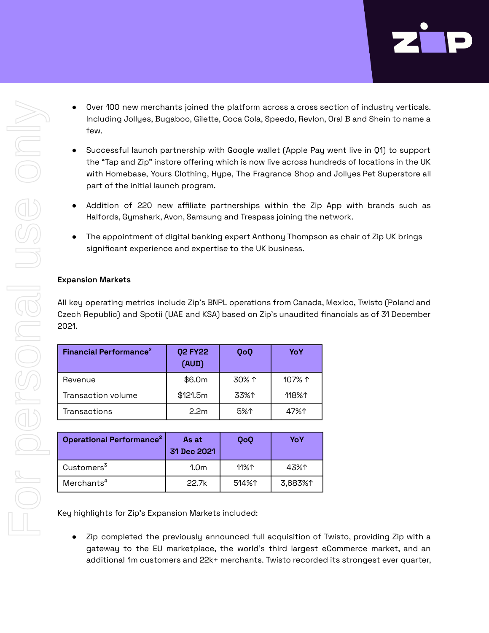- Over 100 new merchants joined the platform across a cross section of industry verticals. Including Jollyes, Bugaboo, Gilette, Coca Cola, Speedo, Revlon, Oral B and Shein to name a few.
- Successful launch partnership with Google wallet (Apple Pay went live in Q1) to support the "Tap and Zip" instore offering which is now live across hundreds of locations in the UK with Homebase, Yours Clothing, Hype, The Fragrance Shop and Jollyes Pet Superstore all part of the initial launch program.
- Addition of 220 new affiliate partnerships within the Zip App with brands such as Halfords, Gymshark, Avon, Samsung and Trespass joining the network.
- The appointment of digital banking expert Anthony Thompson as chair of Zip UK brings significant experience and expertise to the UK business.

# **Expansion Markets**

All key operating metrics include Zip's BNPL operations from Canada, Mexico, Twisto (Poland and Czech Republic) and Spotii (UAE and KSA) based on Zip's unaudited financials as of 31 December 2021.

| Financial Performance <sup>2</sup> | <b>Q2 FY22</b><br>(AUD) | QoQ   | YoY    |
|------------------------------------|-------------------------|-------|--------|
| Revenue                            | \$6.0m                  | 30% 1 | 107% ↑ |
| Transaction volume                 | \$121.5m                | 33%↑  | 118%↑  |
| Transactions                       | 2.2 <sub>m</sub>        | 5%↑   | 47%↑   |

| Operational Performance <sup>2</sup> | As at<br>31 Dec 2021 | QoQ   | YoY     |
|--------------------------------------|----------------------|-------|---------|
| Customers <sup>3</sup>               | 1.0 <sub>m</sub>     | 11%↑  | 43%↑    |
| Merchants <sup>4</sup>               | 22.7k                | 514%↑ | 3,683%↑ |

Key highlights for Zip's Expansion Markets included:

● Zip completed the previously announced full acquisition of Twisto, providing Zip with a gateway to the EU marketplace, the world's third largest eCommerce market, and an additional 1m customers and 22k+ merchants. Twisto recorded its strongest ever quarter,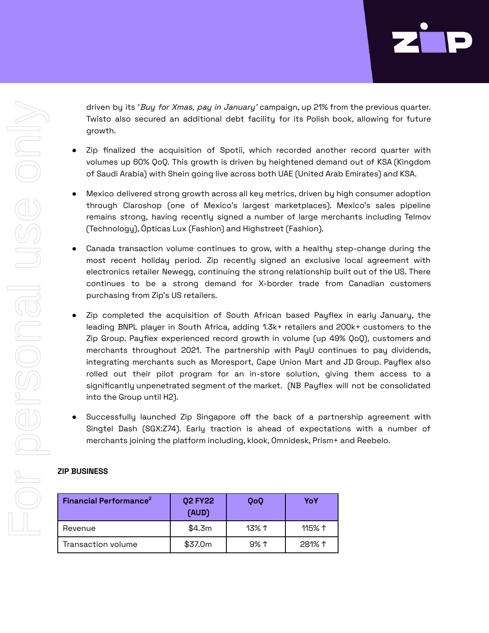driven by its 'Buy for Xmas, pay in January' campaign, up 21% from the previous quarter. Twisto also secured an additional debt facility for its Polish book, allowing for future growth.

- Zip finalized the acquisition of Spotii, which recorded another record quarter with volumes up 60% QoQ. This growth is driven by heightened demand out of KSA (Kingdom of Saudi Arabia) with Shein going live across both UAE (United Arab Emirates) and KSA.
- Mexico delivered strong growth across all key metrics, driven by high consumer adoption through Claroshop (one of Mexico's largest marketplaces). Mexico's sales pipeline remains strong, having recently signed a number of large merchants including Telmov (Technology), Ópticas Lux (Fashion) and Highstreet (Fashion).
- Canada transaction volume continues to grow, with a healthy step-change during the most recent holiday period. Zip recently signed an exclusive local agreement with electronics retailer Newegg, continuing the strong relationship built out of the US. There continues to be a strong demand for X-border trade from Canadian customers purchasing from Zip's US retailers.
- Zip completed the acquisition of South African based Payflex in early January, the leading BNPL player in South Africa, adding 1.3k+ retailers and 200k+ customers to the Zip Group. Payflex experienced record growth in volume (up 49% QoQ), customers and merchants throughout 2021. The partnership with PayU continues to pay dividends, integrating merchants such as Moresport, Cape Union Mart and JD Group. Payflex also rolled out their pilot program for an in-store solution, giving them access to a significantly unpenetrated segment of the market. (NB Payflex will not be consolidated into the Group until H2).
- Successfully launched Zip Singapore off the back of a partnership agreement with Singtel Dash (SGX:Z74). Early traction is ahead of expectations with a number of merchants joining the platform including, klook, Omnidesk, Prism+ and Reebelo.

### **ZIP BUSINESS**

| Financial Performance <sup>2</sup> | <b>Q2 FY22</b><br>(AUD) | QoQ            | YoY             |
|------------------------------------|-------------------------|----------------|-----------------|
| Revenue                            | \$4.3m                  | 13% $\uparrow$ | 115% $\uparrow$ |
| Transaction volume                 | \$37.0m                 | $9\%$ ↑        | 281% 1          |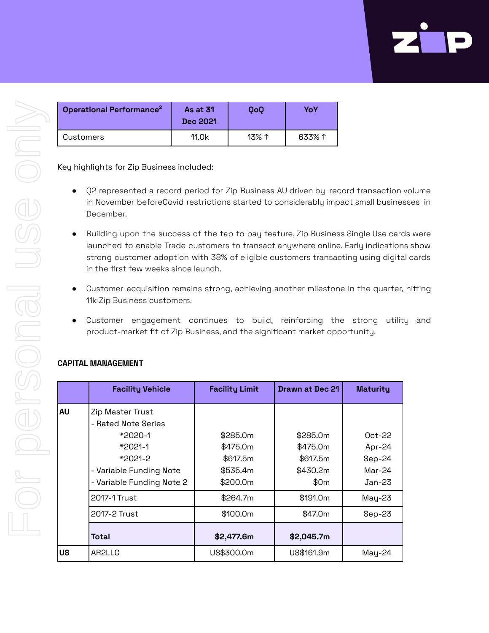| <b>Operational Performance<sup>2</sup></b> | <b>As at 31</b><br>Dec 2021 | 0o0            | YoY    |
|--------------------------------------------|-----------------------------|----------------|--------|
| Customers                                  | 11.0k                       | 13% $\uparrow$ | 633% 1 |

Key highlights for Zip Business included:

- Q2 represented a record period for Zip Business AU driven by record transaction volume in November beforeCovid restrictions started to considerably impact small businesses in December.
- Building upon the success of the tap to pay feature, Zip Business Single Use cards were launched to enable Trade customers to transact anywhere online. Early indications show strong customer adoption with 38% of eligibl[e](https://insights.data.internal.zip/#/views/MonthlyConsumerReports-Tables/Usage?:iid=1) customers transacting using digital cards in the first few weeks since launch.
- Customer acquisition remains strong, achieving another milestone in the quarter, hitting 11k Zip Business customers.
- Customer engagement continues to build, reinforcing the strong utility and product-market fit of Zip Business, and the significant market opportunity.

|    | <b>Facility Vehicle</b>                                                                                                            | <b>Facility Limit</b>                                    | Drawn at Dec 21                                      | <b>Maturity</b>                                      |
|----|------------------------------------------------------------------------------------------------------------------------------------|----------------------------------------------------------|------------------------------------------------------|------------------------------------------------------|
| AU | Zip Master Trust<br>- Rated Note Series<br>$*2020-1$<br>*2021-1<br>*2021-2<br>- Variable Funding Note<br>- Variable Funding Note 2 | \$285.0m<br>\$475.0m<br>\$617.5m<br>\$535.4m<br>\$200.0m | \$285.0m<br>\$475.0m<br>\$617.5m<br>\$430.2m<br>\$0m | $0ct-22$<br>Apr-24<br>Sep-24<br>$Mar-24$<br>$Jan-23$ |
|    | 2017-1 Trust                                                                                                                       | \$264.7m                                                 | \$191.0m                                             | $May-23$                                             |
|    | 2017-2 Trust                                                                                                                       | \$100.0m                                                 | \$47.0m                                              | $Sep-23$                                             |
|    | Total                                                                                                                              | \$2,477.6m                                               | \$2,045.7m                                           |                                                      |
| US | AR2LLC                                                                                                                             | US\$300.0m                                               | US\$161.9m                                           | May-24                                               |

# **CAPITAL MANAGEMENT**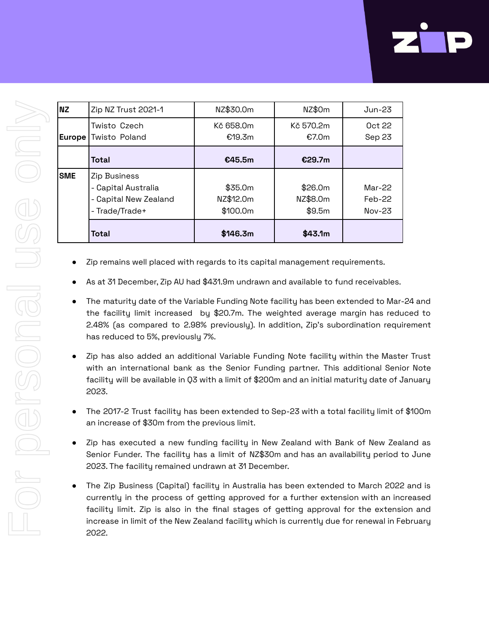| <b>NZ</b>  | Zip NZ Trust 2021-1                                                            | NZ\$30.0m                        | NZ\$0m                        | Jun-23                         |
|------------|--------------------------------------------------------------------------------|----------------------------------|-------------------------------|--------------------------------|
| Europe     | Twisto Czech<br>Twisto Poland                                                  | Kč 658.0m<br>€19.3m              | Kč 570.2m<br>€7.0m            | 0ct 22<br>Sep 23               |
|            | Total                                                                          | €45.5m                           | €29.7m                        |                                |
| <b>SME</b> | Zip Business<br>- Capital Australia<br>- Capital New Zealand<br>- Trade/Trade+ | \$35.0m<br>NZ\$12.0m<br>\$100.0m | \$26.0m<br>NZ\$8.0m<br>\$9.5m | $Mar-22$<br>$Feb-22$<br>Nov-23 |
|            | Total                                                                          | \$146.3m                         | \$43.1m                       |                                |

- Zip remains well placed with regards to its capital management requirements.
- As at 31 December, Zip AU had \$431.9m undrawn and available to fund receivables.
- The maturity date of the Variable Funding Note facility has been extended to Mar-24 and the facility limit increased by \$20.7m. The weighted average margin has reduced to 2.48% (as compared to 2.98% previously). In addition, Zip's subordination requirement has reduced to 5%, previously 7%.
- Zip has also added an additional Variable Funding Note facility within the Master Trust with an international bank as the Senior Funding partner. This additional Senior Note facility will be available in Q3 with a limit of \$200m and an initial maturity date of January 2023.
- The 2017-2 Trust facility has been extended to Sep-23 with a total facility limit of \$100m an increase of \$30m from the previous limit.
- Zip has executed a new funding facility in New Zealand with Bank of New Zealand as Senior Funder. The facility has a limit of NZ\$30m and has an availability period to June 2023. The facility remained undrawn at 31 December.
- The Zip Business (Capital) facility in Australia has been extended to March 2022 and is currently in the process of getting approved for a further extension with an increased facility limit. Zip is also in the final stages of getting approval for the extension and increase in limit of the New Zealand facility which is currently due for renewal in February 2022.